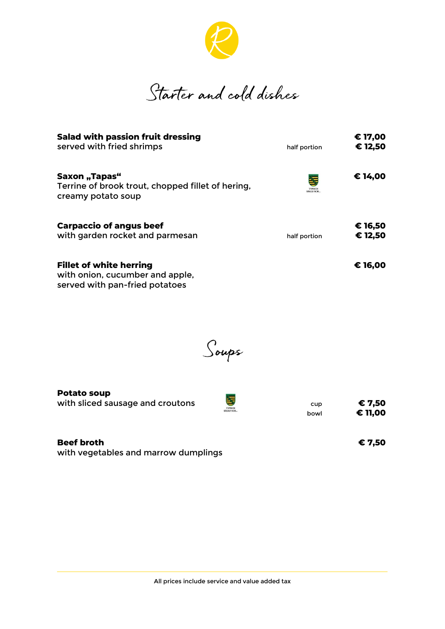

Starter and cold dishes

| Salad with passion fruit dressing<br>served with fried shrimps                                      | half portion | € 17,00<br>€ 12,50 |
|-----------------------------------------------------------------------------------------------------|--------------|--------------------|
| Saxon "Tapas"<br>Terrine of brook trout, chopped fillet of hering,<br>creamy potato soup            | 독            | € 14,00            |
| Carpaccio of angus beef<br>with garden rocket and parmesan                                          | half portion | € 16,50<br>€ 12,50 |
| <b>Fillet of white herring</b><br>with onion, cucumber and apple,<br>served with pan-fried potatoes |              | € 16,00            |

Soups

**Potato soup**  with sliced sausage and croutons **€ 2 E 7,50** 

| <b>TYPISCH</b> |
|----------------|
|                |

bowl **€ 11,00**

| Beef broth                           | € 7.50 |
|--------------------------------------|--------|
| with vegetables and marrow dumplings |        |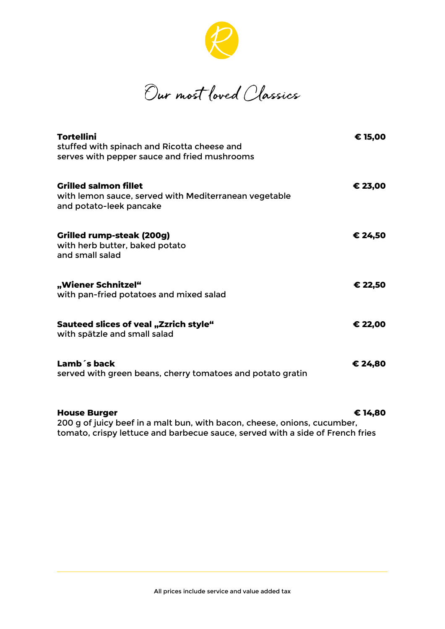

Our most loved Classics

| <b>Tortellini</b><br>stuffed with spinach and Ricotta cheese and<br>serves with pepper sauce and fried mushrooms | € 15,00 |
|------------------------------------------------------------------------------------------------------------------|---------|
| <b>Grilled salmon fillet</b><br>with lemon sauce, served with Mediterranean vegetable<br>and potato-leek pancake | € 23,00 |
| Grilled rump-steak (200g)<br>with herb butter, baked potato<br>and small salad                                   | € 24,50 |
| "Wiener Schnitzel"<br>with pan-fried potatoes and mixed salad                                                    | € 22,50 |
| <b>Sauteed slices of veal "Zzrich style"</b><br>with spätzle and small salad                                     | € 22,00 |
| Lamb's back<br>served with green beans, cherry tomatoes and potato gratin                                        | € 24,80 |

**House Burger € 14,80**  200 g of juicy beef in a malt bun, with bacon, cheese, onions, cucumber, tomato, crispy lettuce and barbecue sauce, served with a side of French fries